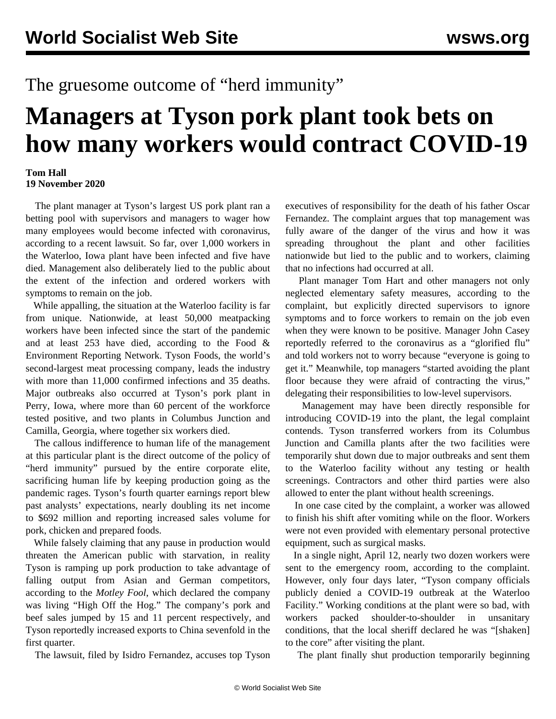## The gruesome outcome of "herd immunity"

## **Managers at Tyson pork plant took bets on how many workers would contract COVID-19**

## **Tom Hall 19 November 2020**

 The plant manager at Tyson's largest US pork plant ran a betting pool with supervisors and managers to wager how many employees would become infected with coronavirus, according to a recent lawsuit. So far, over 1,000 workers in the Waterloo, Iowa plant have been infected and five have died. Management also deliberately lied to the public about the extent of the infection and ordered workers with symptoms to remain on the job.

 While appalling, the situation at the Waterloo facility is far from unique. Nationwide, at least 50,000 meatpacking workers have been infected since the start of the pandemic and at least 253 have died, according to the Food & Environment Reporting Network. Tyson Foods, the world's second-largest meat processing company, leads the industry with more than 11,000 confirmed infections and 35 deaths. Major outbreaks also occurred at Tyson's pork plant in Perry, Iowa, where more than 60 percent of the workforce tested positive, and two plants in Columbus Junction and Camilla, Georgia, where together six workers died.

 The callous indifference to human life of the management at this particular plant is the direct outcome of the policy of "herd immunity" pursued by the entire corporate elite, sacrificing human life by keeping production going as the pandemic rages. Tyson's fourth quarter earnings report blew past analysts' expectations, nearly doubling its net income to \$692 million and reporting increased sales volume for pork, chicken and prepared foods.

 While falsely claiming that any pause in production would threaten the American public with starvation, in reality Tyson is ramping up pork production to take advantage of falling output from Asian and German competitors, according to the *Motley Fool*, which declared the company was living "High Off the Hog." The company's pork and beef sales jumped by 15 and 11 percent respectively, and Tyson reportedly increased exports to China sevenfold in the first quarter.

The lawsuit, filed by Isidro Fernandez, accuses top Tyson

executives of responsibility for the death of his father Oscar Fernandez. The complaint argues that top management was fully aware of the danger of the virus and how it was spreading throughout the plant and other facilities nationwide but lied to the public and to workers, claiming that no infections had occurred at all.

 Plant manager Tom Hart and other managers not only neglected elementary safety measures, according to the complaint, but explicitly directed supervisors to ignore symptoms and to force workers to remain on the job even when they were known to be positive. Manager John Casey reportedly referred to the coronavirus as a "glorified flu" and told workers not to worry because "everyone is going to get it." Meanwhile, top managers "started avoiding the plant floor because they were afraid of contracting the virus," delegating their responsibilities to low-level supervisors.

 Management may have been directly responsible for introducing COVID-19 into the plant, the legal complaint contends. Tyson transferred workers from its Columbus Junction and Camilla plants after the two facilities were temporarily shut down due to major outbreaks and sent them to the Waterloo facility without any testing or health screenings. Contractors and other third parties were also allowed to enter the plant without health screenings.

 In one case cited by the complaint, a worker was allowed to finish his shift after vomiting while on the floor. Workers were not even provided with elementary personal protective equipment, such as surgical masks.

 In a single night, April 12, nearly two dozen workers were sent to the emergency room, according to the complaint. However, only four days later, "Tyson company officials publicly denied a COVID-19 outbreak at the Waterloo Facility." Working conditions at the plant were so bad, with workers packed shoulder-to-shoulder in unsanitary conditions, that the local sheriff declared he was "[shaken] to the core" after visiting the plant.

The plant finally shut production temporarily beginning